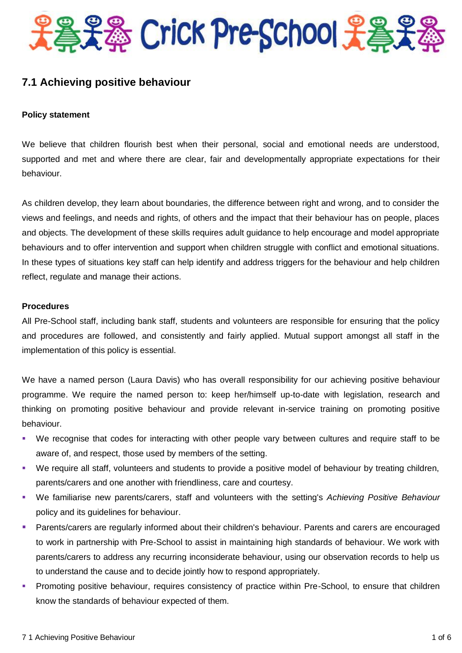

# **7.1 Achieving positive behaviour**

#### **Policy statement**

We believe that children flourish best when their personal, social and emotional needs are understood, supported and met and where there are clear, fair and developmentally appropriate expectations for their behaviour.

As children develop, they learn about boundaries, the difference between right and wrong, and to consider the views and feelings, and needs and rights, of others and the impact that their behaviour has on people, places and objects. The development of these skills requires adult guidance to help encourage and model appropriate behaviours and to offer intervention and support when children struggle with conflict and emotional situations. In these types of situations key staff can help identify and address triggers for the behaviour and help children reflect, regulate and manage their actions.

#### **Procedures**

All Pre-School staff, including bank staff, students and volunteers are responsible for ensuring that the policy and procedures are followed, and consistently and fairly applied. Mutual support amongst all staff in the implementation of this policy is essential.

We have a named person (Laura Davis) who has overall responsibility for our achieving positive behaviour programme. We require the named person to: keep her/himself up-to-date with legislation, research and thinking on promoting positive behaviour and provide relevant in-service training on promoting positive behaviour.

- We recognise that codes for interacting with other people vary between cultures and require staff to be aware of, and respect, those used by members of the setting.
- We require all staff, volunteers and students to provide a positive model of behaviour by treating children, parents/carers and one another with friendliness, care and courtesy.
- We familiarise new parents/carers, staff and volunteers with the setting's *Achieving Positive Behaviour* policy and its guidelines for behaviour.
- **Parents/carers are regularly informed about their children's behaviour. Parents and carers are encouraged** to work in partnership with Pre-School to assist in maintaining high standards of behaviour. We work with parents/carers to address any recurring inconsiderate behaviour, using our observation records to help us to understand the cause and to decide jointly how to respond appropriately.
- Promoting positive behaviour, requires consistency of practice within Pre-School, to ensure that children know the standards of behaviour expected of them.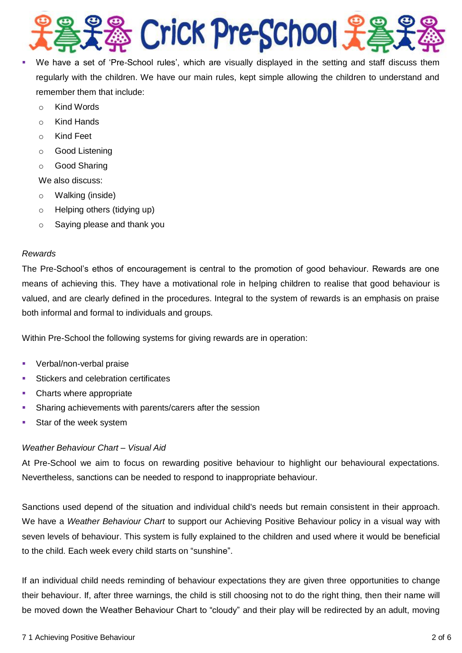

- We have a set of 'Pre-School rules', which are visually displayed in the setting and staff discuss them regularly with the children. We have our main rules, kept simple allowing the children to understand and remember them that include:
	- o Kind Words
	- o Kind Hands
	- o Kind Feet
	- o Good Listening
	- o Good Sharing

We also discuss:

- o Walking (inside)
- o Helping others (tidying up)
- o Saying please and thank you

#### *Rewards*

The Pre-School's ethos of encouragement is central to the promotion of good behaviour. Rewards are one means of achieving this. They have a motivational role in helping children to realise that good behaviour is valued, and are clearly defined in the procedures. Integral to the system of rewards is an emphasis on praise both informal and formal to individuals and groups.

Within Pre-School the following systems for giving rewards are in operation:

- Verbal/non-verbal praise
- **Stickers and celebration certificates**
- Charts where appropriate
- Sharing achievements with parents/carers after the session
- Star of the week system

# *Weather Behaviour Chart – Visual Aid*

At Pre-School we aim to focus on rewarding positive behaviour to highlight our behavioural expectations. Nevertheless, sanctions can be needed to respond to inappropriate behaviour.

Sanctions used depend of the situation and individual child's needs but remain consistent in their approach. We have a *Weather Behaviour Chart* to support our Achieving Positive Behaviour policy in a visual way with seven levels of behaviour. This system is fully explained to the children and used where it would be beneficial to the child. Each week every child starts on "sunshine".

If an individual child needs reminding of behaviour expectations they are given three opportunities to change their behaviour. If, after three warnings, the child is still choosing not to do the right thing, then their name will be moved down the Weather Behaviour Chart to "cloudy" and their play will be redirected by an adult, moving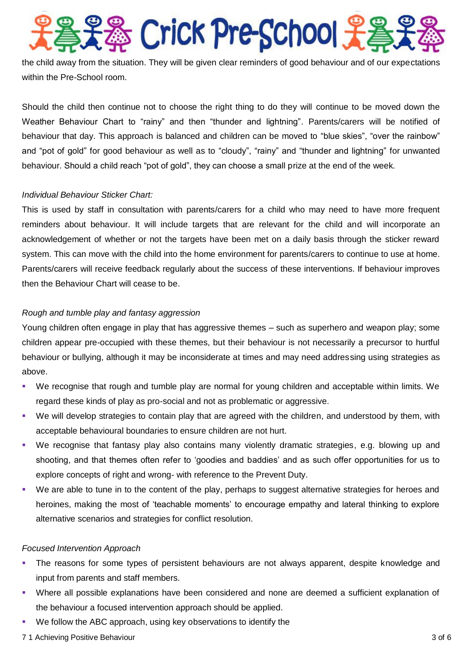# S Crick Pre-School £

the child away from the situation. They will be given clear reminders of good behaviour and of our expectations within the Pre-School room.

Should the child then continue not to choose the right thing to do they will continue to be moved down the Weather Behaviour Chart to "rainy" and then "thunder and lightning". Parents/carers will be notified of behaviour that day. This approach is balanced and children can be moved to "blue skies", "over the rainbow" and "pot of gold" for good behaviour as well as to "cloudy", "rainy" and "thunder and lightning" for unwanted behaviour. Should a child reach "pot of gold", they can choose a small prize at the end of the week.

# *Individual Behaviour Sticker Chart:*

This is used by staff in consultation with parents/carers for a child who may need to have more frequent reminders about behaviour. It will include targets that are relevant for the child and will incorporate an acknowledgement of whether or not the targets have been met on a daily basis through the sticker reward system. This can move with the child into the home environment for parents/carers to continue to use at home. Parents/carers will receive feedback regularly about the success of these interventions. If behaviour improves then the Behaviour Chart will cease to be.

# *Rough and tumble play and fantasy aggression*

Young children often engage in play that has aggressive themes – such as superhero and weapon play; some children appear pre-occupied with these themes, but their behaviour is not necessarily a precursor to hurtful behaviour or bullying, although it may be inconsiderate at times and may need addressing using strategies as above.

- We recognise that rough and tumble play are normal for young children and acceptable within limits. We regard these kinds of play as pro-social and not as problematic or aggressive.
- We will develop strategies to contain play that are agreed with the children, and understood by them, with acceptable behavioural boundaries to ensure children are not hurt.
- We recognise that fantasy play also contains many violently dramatic strategies, e.g. blowing up and shooting, and that themes often refer to 'goodies and baddies' and as such offer opportunities for us to explore concepts of right and wrong- with reference to the Prevent Duty.
- We are able to tune in to the content of the play, perhaps to suggest alternative strategies for heroes and heroines, making the most of 'teachable moments' to encourage empathy and lateral thinking to explore alternative scenarios and strategies for conflict resolution.

#### *Focused Intervention Approach*

- The reasons for some types of persistent behaviours are not always apparent, despite knowledge and input from parents and staff members.
- Where all possible explanations have been considered and none are deemed a sufficient explanation of the behaviour a focused intervention approach should be applied.
- We follow the ABC approach, using key observations to identify the
- 7 1 Achieving Positive Behaviour 3 of 6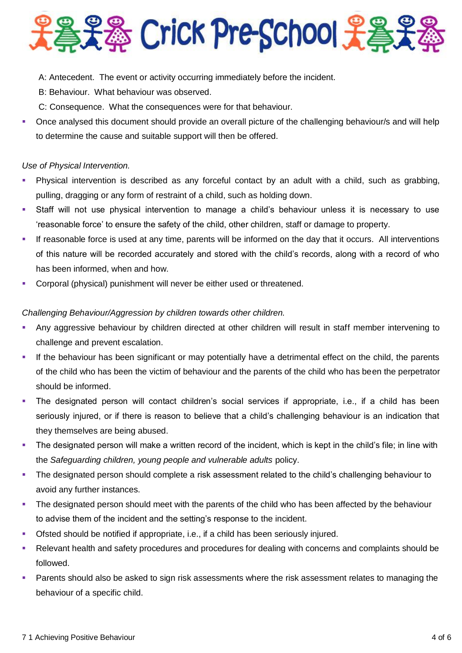**La La Crick Pre-School 上高史** 

- A: Antecedent. The event or activity occurring immediately before the incident.
- B: Behaviour. What behaviour was observed.
- C: Consequence. What the consequences were for that behaviour.
- Once analysed this document should provide an overall picture of the challenging behaviour/s and will help to determine the cause and suitable support will then be offered.

#### *Use of Physical Intervention.*

- Physical intervention is described as any forceful contact by an adult with a child, such as grabbing, pulling, dragging or any form of restraint of a child, such as holding down.
- Staff will not use physical intervention to manage a child's behaviour unless it is necessary to use 'reasonable force' to ensure the safety of the child, other children, staff or damage to property.
- If reasonable force is used at any time, parents will be informed on the day that it occurs. All interventions of this nature will be recorded accurately and stored with the child's records, along with a record of who has been informed, when and how.
- Corporal (physical) punishment will never be either used or threatened.

# *Challenging Behaviour/Aggression by children towards other children.*

- Any aggressive behaviour by children directed at other children will result in staff member intervening to challenge and prevent escalation.
- If the behaviour has been significant or may potentially have a detrimental effect on the child, the parents of the child who has been the victim of behaviour and the parents of the child who has been the perpetrator should be informed.
- The designated person will contact children's social services if appropriate, i.e., if a child has been seriously injured, or if there is reason to believe that a child's challenging behaviour is an indication that they themselves are being abused.
- The designated person will make a written record of the incident, which is kept in the child's file; in line with the *Safeguarding children, young people and vulnerable adults* policy.
- The designated person should complete a risk assessment related to the child's challenging behaviour to avoid any further instances.
- The designated person should meet with the parents of the child who has been affected by the behaviour to advise them of the incident and the setting's response to the incident.
- Ofsted should be notified if appropriate, i.e., if a child has been seriously injured.
- Relevant health and safety procedures and procedures for dealing with concerns and complaints should be followed.
- Parents should also be asked to sign risk assessments where the risk assessment relates to managing the behaviour of a specific child.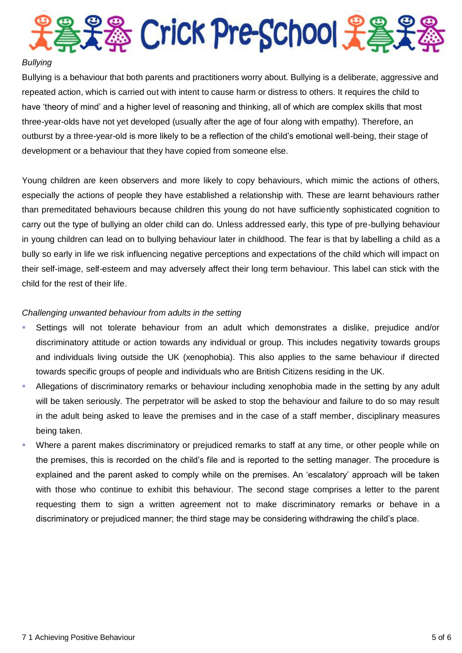

#### *Bullying*

Bullying is a behaviour that both parents and practitioners worry about. Bullying is a deliberate, aggressive and repeated action, which is carried out with intent to cause harm or distress to others. It requires the child to have 'theory of mind' and a higher level of reasoning and thinking, all of which are complex skills that most three-year-olds have not yet developed (usually after the age of four along with empathy). Therefore, an outburst by a three-year-old is more likely to be a reflection of the child's emotional well-being, their stage of development or a behaviour that they have copied from someone else.

Young children are keen observers and more likely to copy behaviours, which mimic the actions of others, especially the actions of people they have established a relationship with. These are learnt behaviours rather than premeditated behaviours because children this young do not have sufficiently sophisticated cognition to carry out the type of bullying an older child can do. Unless addressed early, this type of pre-bullying behaviour in young children can lead on to bullying behaviour later in childhood. The fear is that by labelling a child as a bully so early in life we risk influencing negative perceptions and expectations of the child which will impact on their self-image, self-esteem and may adversely affect their long term behaviour. This label can stick with the child for the rest of their life.

#### *Challenging unwanted behaviour from adults in the setting*

- Settings will not tolerate behaviour from an adult which demonstrates a dislike, prejudice and/or discriminatory attitude or action towards any individual or group. This includes negativity towards groups and individuals living outside the UK (xenophobia). This also applies to the same behaviour if directed towards specific groups of people and individuals who are British Citizens residing in the UK.
- Allegations of discriminatory remarks or behaviour including xenophobia made in the setting by any adult will be taken seriously. The perpetrator will be asked to stop the behaviour and failure to do so may result in the adult being asked to leave the premises and in the case of a staff member, disciplinary measures being taken.
- Where a parent makes discriminatory or prejudiced remarks to staff at any time, or other people while on the premises, this is recorded on the child's file and is reported to the setting manager. The procedure is explained and the parent asked to comply while on the premises. An 'escalatory' approach will be taken with those who continue to exhibit this behaviour. The second stage comprises a letter to the parent requesting them to sign a written agreement not to make discriminatory remarks or behave in a discriminatory or prejudiced manner; the third stage may be considering withdrawing the child's place.